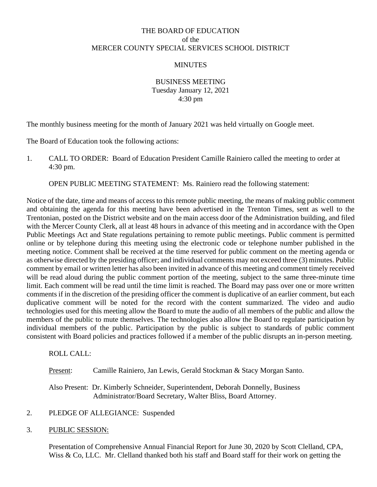# THE BOARD OF EDUCATION of the MERCER COUNTY SPECIAL SERVICES SCHOOL DISTRICT

### **MINUTES**

BUSINESS MEETING Tuesday January 12, 2021 4:30 pm

The monthly business meeting for the month of January 2021 was held virtually on Google meet.

The Board of Education took the following actions:

1. CALL TO ORDER: Board of Education President Camille Rainiero called the meeting to order at 4:30 pm.

OPEN PUBLIC MEETING STATEMENT: Ms. Rainiero read the following statement:

Notice of the date, time and means of access to this remote public meeting, the means of making public comment and obtaining the agenda for this meeting have been advertised in the Trenton Times, sent as well to the Trentonian, posted on the District website and on the main access door of the Administration building, and filed with the Mercer County Clerk, all at least 48 hours in advance of this meeting and in accordance with the Open Public Meetings Act and State regulations pertaining to remote public meetings. Public comment is permitted online or by telephone during this meeting using the electronic code or telephone number published in the meeting notice. Comment shall be received at the time reserved for public comment on the meeting agenda or as otherwise directed by the presiding officer; and individual comments may not exceed three (3) minutes. Public comment by email or written letter has also been invited in advance of this meeting and comment timely received will be read aloud during the public comment portion of the meeting, subject to the same three-minute time limit. Each comment will be read until the time limit is reached. The Board may pass over one or more written comments if in the discretion of the presiding officer the comment is duplicative of an earlier comment, but each duplicative comment will be noted for the record with the content summarized. The video and audio technologies used for this meeting allow the Board to mute the audio of all members of the public and allow the members of the public to mute themselves. The technologies also allow the Board to regulate participation by individual members of the public. Participation by the public is subject to standards of public comment consistent with Board policies and practices followed if a member of the public disrupts an in-person meeting.

### ROLL CALL:

### Present: Camille Rainiero, Jan Lewis, Gerald Stockman & Stacy Morgan Santo.

Also Present: Dr. Kimberly Schneider, Superintendent, Deborah Donnelly, Business Administrator/Board Secretary, Walter Bliss, Board Attorney.

### 2. PLEDGE OF ALLEGIANCE: Suspended

### 3. PUBLIC SESSION:

Presentation of Comprehensive Annual Financial Report for June 30, 2020 by Scott Clelland, CPA, Wiss & Co, LLC. Mr. Clelland thanked both his staff and Board staff for their work on getting the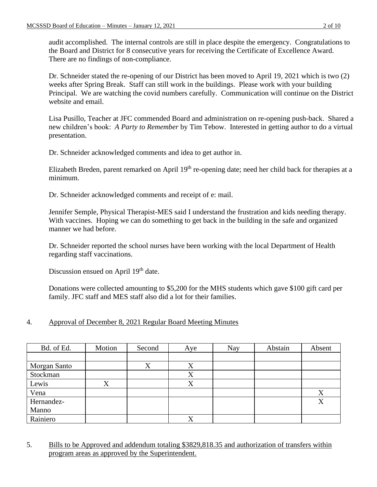audit accomplished. The internal controls are still in place despite the emergency. Congratulations to the Board and District for 8 consecutive years for receiving the Certificate of Excellence Award. There are no findings of non-compliance.

Dr. Schneider stated the re-opening of our District has been moved to April 19, 2021 which is two (2) weeks after Spring Break. Staff can still work in the buildings. Please work with your building Principal. We are watching the covid numbers carefully. Communication will continue on the District website and email.

Lisa Pusillo, Teacher at JFC commended Board and administration on re-opening push-back. Shared a new children's book: *A Party to Remember* by Tim Tebow. Interested in getting author to do a virtual presentation.

Dr. Schneider acknowledged comments and idea to get author in.

Elizabeth Breden, parent remarked on April 19<sup>th</sup> re-opening date; need her child back for therapies at a minimum.

Dr. Schneider acknowledged comments and receipt of e: mail.

Jennifer Semple, Physical Therapist-MES said I understand the frustration and kids needing therapy. With vaccines. Hoping we can do something to get back in the building in the safe and organized manner we had before.

Dr. Schneider reported the school nurses have been working with the local Department of Health regarding staff vaccinations.

Discussion ensued on April 19<sup>th</sup> date.

Donations were collected amounting to \$5,200 for the MHS students which gave \$100 gift card per family. JFC staff and MES staff also did a lot for their families.

# 4. Approval of December 8, 2021 Regular Board Meeting Minutes

| Bd. of Ed.   | Motion | Second | Aye | Nay | Abstain | Absent |
|--------------|--------|--------|-----|-----|---------|--------|
|              |        |        |     |     |         |        |
| Morgan Santo |        | X      |     |     |         |        |
| Stockman     |        |        | X   |     |         |        |
| Lewis        | X      |        | X   |     |         |        |
| Vena         |        |        |     |     |         | X      |
| Hernandez-   |        |        |     |     |         | X      |
| Manno        |        |        |     |     |         |        |
| Rainiero     |        |        |     |     |         |        |

5. Bills to be Approved and addendum totaling \$3829,818.35 and authorization of transfers within program areas as approved by the Superintendent.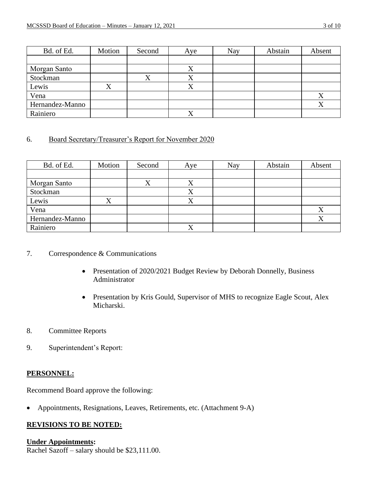| Bd. of Ed.      | Motion | Second | Aye | Nay | Abstain | Absent |
|-----------------|--------|--------|-----|-----|---------|--------|
|                 |        |        |     |     |         |        |
| Morgan Santo    |        |        |     |     |         |        |
| Stockman        |        |        | Λ   |     |         |        |
| Lewis           |        |        |     |     |         |        |
| Vena            |        |        |     |     |         | X      |
| Hernandez-Manno |        |        |     |     |         | Λ      |
| Rainiero        |        |        |     |     |         |        |

### 6. Board Secretary/Treasurer's Report for November 2020

| Bd. of Ed.      | Motion | Second         | Aye            | Nay | Abstain | Absent |
|-----------------|--------|----------------|----------------|-----|---------|--------|
|                 |        |                |                |     |         |        |
| Morgan Santo    |        | v<br>$\Lambda$ | $\Lambda$      |     |         |        |
| Stockman        |        |                | $\Lambda$      |     |         |        |
| Lewis           |        |                |                |     |         |        |
| Vena            |        |                |                |     |         | X      |
| Hernandez-Manno |        |                |                |     |         | X      |
| Rainiero        |        |                | v<br>$\Lambda$ |     |         |        |

### 7. Correspondence & Communications

- Presentation of 2020/2021 Budget Review by Deborah Donnelly, Business Administrator
- Presentation by Kris Gould, Supervisor of MHS to recognize Eagle Scout, Alex Micharski.
- 8. Committee Reports
- 9. Superintendent's Report:

### **PERSONNEL:**

Recommend Board approve the following:

• Appointments, Resignations, Leaves, Retirements, etc. (Attachment 9-A)

## **REVISIONS TO BE NOTED:**

### **Under Appointments:**

Rachel Sazoff – salary should be \$23,111.00.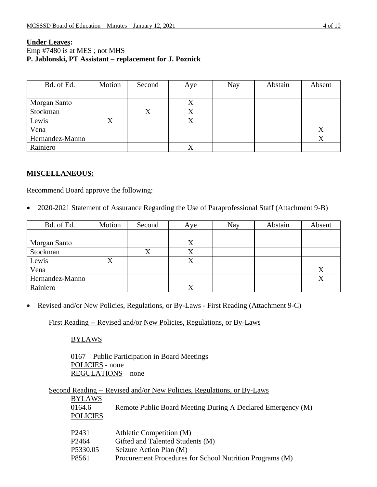### **Under Leaves:** Emp #7480 is at MES ; not MHS **P. Jablonski, PT Assistant – replacement for J. Poznick**

| Bd. of Ed.      | Motion    | Second | Aye       | Nay | Abstain | Absent |
|-----------------|-----------|--------|-----------|-----|---------|--------|
|                 |           |        |           |     |         |        |
| Morgan Santo    |           |        | $\Lambda$ |     |         |        |
| Stockman        |           |        |           |     |         |        |
| Lewis           | $\Lambda$ |        |           |     |         |        |
| Vena            |           |        |           |     |         | л      |
| Hernandez-Manno |           |        |           |     |         |        |
| Rainiero        |           |        |           |     |         |        |

## **MISCELLANEOUS:**

Recommend Board approve the following:

• 2020-2021 Statement of Assurance Regarding the Use of Paraprofessional Staff (Attachment 9-B)

| Bd. of Ed.      | Motion | Second | Aye | Nay | Abstain | Absent |
|-----------------|--------|--------|-----|-----|---------|--------|
|                 |        |        |     |     |         |        |
| Morgan Santo    |        |        |     |     |         |        |
| Stockman        |        | ⊿      | ∡ ⊾ |     |         |        |
| Lewis           |        |        |     |     |         |        |
| Vena            |        |        |     |     |         | Λ      |
| Hernandez-Manno |        |        |     |     |         |        |
| Rainiero        |        |        |     |     |         |        |

• Revised and/or New Policies, Regulations, or By-Laws - First Reading (Attachment 9-C)

First Reading -- Revised and/or New Policies, Regulations, or By-Laws

BYLAWS

0167 Public Participation in Board Meetings POLICIES - none REGULATIONS – none

|                   | Second Reading -- Revised and/or New Policies, Regulations, or By-Laws |
|-------------------|------------------------------------------------------------------------|
| <b>BYLAWS</b>     |                                                                        |
| 0164.6            | Remote Public Board Meeting During A Declared Emergency (M)            |
| <b>POLICIES</b>   |                                                                        |
|                   |                                                                        |
| P <sub>2431</sub> | Athletic Competition (M)                                               |
| P <sub>2464</sub> | Gifted and Talented Students (M)                                       |
| P5330.05          | Seizure Action Plan (M)                                                |
| P8561             | Procurement Procedures for School Nutrition Programs (M)               |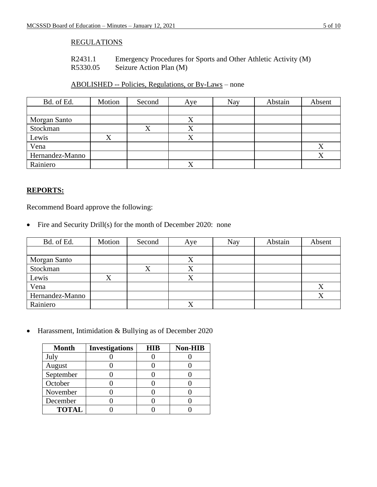## REGULATIONS

| R2431.1  | Emergency Procedures for Sports and Other Athletic Activity (M) |
|----------|-----------------------------------------------------------------|
| R5330.05 | Seizure Action Plan (M)                                         |

# ABOLISHED -- Policies, Regulations, or By-Laws – none

| Bd. of Ed.      | Motion | Second | Aye | Nay | Abstain | Absent |
|-----------------|--------|--------|-----|-----|---------|--------|
|                 |        |        |     |     |         |        |
| Morgan Santo    |        |        |     |     |         |        |
| Stockman        |        |        |     |     |         |        |
| Lewis           |        |        |     |     |         |        |
| Vena            |        |        |     |     |         | Λ      |
| Hernandez-Manno |        |        |     |     |         |        |
| Rainiero        |        |        |     |     |         |        |

## **REPORTS:**

Recommend Board approve the following:

• Fire and Security Drill(s) for the month of December 2020: none

| Bd. of Ed.      | Motion | Second | Aye | Nay | Abstain | Absent |
|-----------------|--------|--------|-----|-----|---------|--------|
|                 |        |        |     |     |         |        |
| Morgan Santo    |        |        |     |     |         |        |
| Stockman        |        |        |     |     |         |        |
| Lewis           | ↗      |        |     |     |         |        |
| Vena            |        |        |     |     |         |        |
| Hernandez-Manno |        |        |     |     |         |        |
| Rainiero        |        |        | ∡   |     |         |        |

• Harassment, Intimidation & Bullying as of December 2020

| <b>Month</b> | <b>Investigations</b> | HIB | <b>Non-HIB</b> |
|--------------|-----------------------|-----|----------------|
| July         |                       |     |                |
| August       |                       |     |                |
| September    |                       |     |                |
| October      |                       |     |                |
| November     |                       |     |                |
| December     |                       |     |                |
| <b>TOTAL</b> |                       |     |                |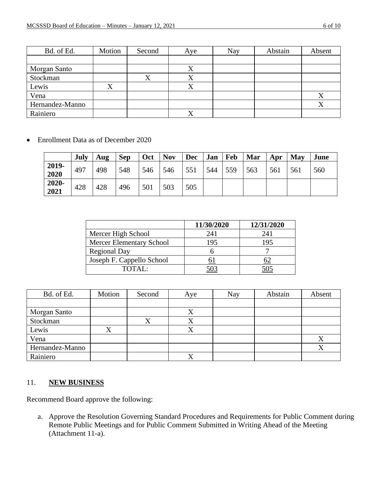| Bd. of Ed.      | Motion | Second | Aye | Nay | Abstain | Absent |
|-----------------|--------|--------|-----|-----|---------|--------|
|                 |        |        |     |     |         |        |
| Morgan Santo    |        |        |     |     |         |        |
| Stockman        |        |        |     |     |         |        |
| Lewis           |        |        | △   |     |         |        |
| Vena            |        |        |     |     |         | Λ      |
| Hernandez-Manno |        |        |     |     |         |        |
| Rainiero        |        |        |     |     |         |        |

• Enrollment Data as of December 2020

|               | July | Aug | <b>Sep</b> | Oct | <b>Nov</b> | <b>Dec</b> | Jan | Feb | Mar | Apr | May | June |
|---------------|------|-----|------------|-----|------------|------------|-----|-----|-----|-----|-----|------|
| 2019-<br>2020 | 497  | 498 | 548        | 546 | 546        | 551        | 544 | 559 | 563 | 561 | 561 | 560  |
| 2020-<br>2021 | 428  | 428 | 496        | 501 | 503        | 505        |     |     |     |     |     |      |

|                                 | 11/30/2020 | 12/31/2020 |
|---------------------------------|------------|------------|
| Mercer High School              | 241        | 241        |
| <b>Mercer Elementary School</b> | 195        | 195        |
| <b>Regional Day</b>             |            |            |
| Joseph F. Cappello School       |            |            |
| TOTAI:                          |            |            |

| Bd. of Ed.      | Motion | Second | Aye       | <b>Nay</b> | Abstain | Absent |
|-----------------|--------|--------|-----------|------------|---------|--------|
|                 |        |        |           |            |         |        |
| Morgan Santo    |        |        |           |            |         |        |
| Stockman        |        |        | $\Lambda$ |            |         |        |
| Lewis           |        |        |           |            |         |        |
| Vena            |        |        |           |            |         | X      |
| Hernandez-Manno |        |        |           |            |         |        |
| Rainiero        |        |        |           |            |         |        |

## 11. **NEW BUSINESS**

Recommend Board approve the following:

a. Approve the Resolution Governing Standard Procedures and Requirements for Public Comment during Remote Public Meetings and for Public Comment Submitted in Writing Ahead of the Meeting (Attachment 11-a).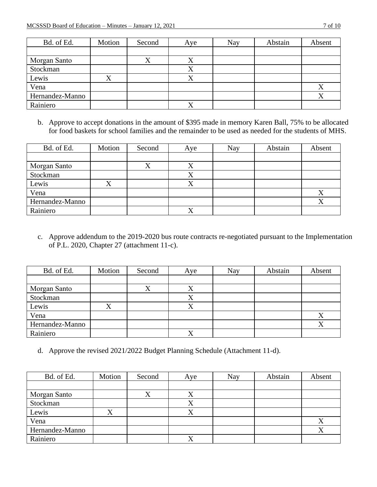|--|--|

| Bd. of Ed.      | Motion | Second | Aye | <b>Nay</b> | Abstain | Absent |
|-----------------|--------|--------|-----|------------|---------|--------|
|                 |        |        |     |            |         |        |
| Morgan Santo    |        |        |     |            |         |        |
| Stockman        |        |        |     |            |         |        |
| Lewis           | Λ      |        |     |            |         |        |
| Vena            |        |        |     |            |         | X      |
| Hernandez-Manno |        |        |     |            |         | Χ      |
| Rainiero        |        |        |     |            |         |        |

b. Approve to accept donations in the amount of \$395 made in memory Karen Ball, 75% to be allocated for food baskets for school families and the remainder to be used as needed for the students of MHS.

| Bd. of Ed.      | Motion | Second | Aye       | Nay | Abstain | Absent |
|-----------------|--------|--------|-----------|-----|---------|--------|
|                 |        |        |           |     |         |        |
| Morgan Santo    |        |        |           |     |         |        |
| Stockman        |        |        |           |     |         |        |
| Lewis           | A      |        | $\lambda$ |     |         |        |
| Vena            |        |        |           |     |         |        |
| Hernandez-Manno |        |        |           |     |         |        |
| Rainiero        |        |        | ↗         |     |         |        |

c. Approve addendum to the 2019-2020 bus route contracts re-negotiated pursuant to the Implementation of P.L. 2020, Chapter 27 (attachment 11-c).

| Bd. of Ed.      | Motion | Second | Aye       | Nay | Abstain | Absent |
|-----------------|--------|--------|-----------|-----|---------|--------|
|                 |        |        |           |     |         |        |
| Morgan Santo    |        |        | X         |     |         |        |
| Stockman        |        |        | $\Lambda$ |     |         |        |
| Lewis           |        |        |           |     |         |        |
| Vena            |        |        |           |     |         |        |
| Hernandez-Manno |        |        |           |     |         | X      |
| Rainiero        |        |        |           |     |         |        |

d. Approve the revised 2021/2022 Budget Planning Schedule (Attachment 11-d).

| Bd. of Ed.      | Motion                   | Second | Aye    | Nay | Abstain | Absent |
|-----------------|--------------------------|--------|--------|-----|---------|--------|
|                 |                          |        |        |     |         |        |
| Morgan Santo    |                          |        |        |     |         |        |
| Stockman        |                          |        | Λ      |     |         |        |
| Lewis           | $\mathbf v$<br>$\Lambda$ |        | v<br>Δ |     |         |        |
| Vena            |                          |        |        |     |         | Х      |
| Hernandez-Manno |                          |        |        |     |         | Χ      |
| Rainiero        |                          |        |        |     |         |        |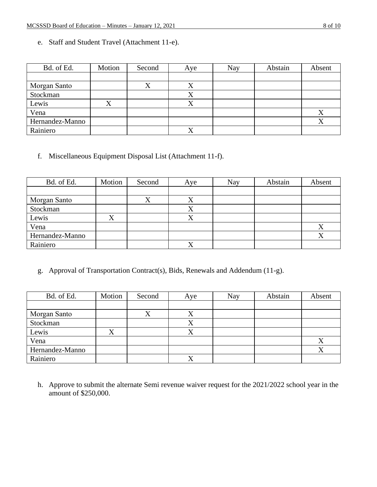e. Staff and Student Travel (Attachment 11-e).

| Bd. of Ed.      | Motion | Second | Aye       | Nay | Abstain | Absent |
|-----------------|--------|--------|-----------|-----|---------|--------|
|                 |        |        |           |     |         |        |
| Morgan Santo    |        | △      | $\Lambda$ |     |         |        |
| Stockman        |        |        |           |     |         |        |
| Lewis           |        |        |           |     |         |        |
| Vena            |        |        |           |     |         | Λ      |
| Hernandez-Manno |        |        |           |     |         |        |
| Rainiero        |        |        |           |     |         |        |

f. Miscellaneous Equipment Disposal List (Attachment 11-f).

| Bd. of Ed.      | Motion | Second | Aye | Nay | Abstain | Absent            |
|-----------------|--------|--------|-----|-----|---------|-------------------|
|                 |        |        |     |     |         |                   |
| Morgan Santo    |        |        |     |     |         |                   |
| Stockman        |        |        |     |     |         |                   |
| Lewis           | X      |        |     |     |         |                   |
| Vena            |        |        |     |     |         | $\rm\overline{X}$ |
| Hernandez-Manno |        |        |     |     |         | Χ                 |
| Rainiero        |        |        |     |     |         |                   |

g. Approval of Transportation Contract(s), Bids, Renewals and Addendum (11-g).

| Bd. of Ed.      | Motion           | Second | Aye | <b>Nay</b> | Abstain | Absent |
|-----------------|------------------|--------|-----|------------|---------|--------|
|                 |                  |        |     |            |         |        |
| Morgan Santo    |                  |        |     |            |         |        |
| Stockman        |                  |        |     |            |         |        |
| Lewis           | $\mathbf v$<br>л |        |     |            |         |        |
| Vena            |                  |        |     |            |         | Δ      |
| Hernandez-Manno |                  |        |     |            |         | Χ      |
| Rainiero        |                  |        |     |            |         |        |

h. Approve to submit the alternate Semi revenue waiver request for the 2021/2022 school year in the amount of \$250,000.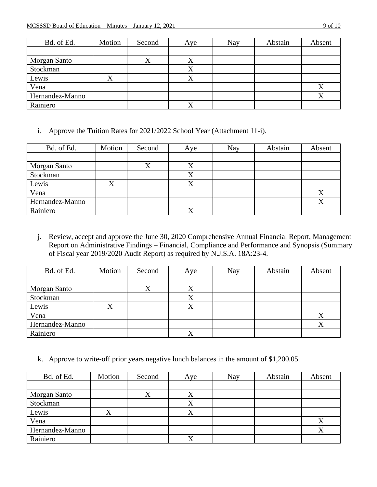| Bd. of Ed.      | Motion | Second | Aye          | Nay | Abstain | Absent |
|-----------------|--------|--------|--------------|-----|---------|--------|
|                 |        |        |              |     |         |        |
| Morgan Santo    |        |        |              |     |         |        |
| Stockman        |        |        |              |     |         |        |
| Lewis           | л      |        | $\Lambda$    |     |         |        |
| Vena            |        |        |              |     |         |        |
| Hernandez-Manno |        |        |              |     |         |        |
| Rainiero        |        |        | $\mathbf{v}$ |     |         |        |

i. Approve the Tuition Rates for 2021/2022 School Year (Attachment 11-i).

| Bd. of Ed.      | Motion | Second | Aye       | Nay | Abstain | Absent |
|-----------------|--------|--------|-----------|-----|---------|--------|
|                 |        |        |           |     |         |        |
| Morgan Santo    |        |        | $\Lambda$ |     |         |        |
| Stockman        |        |        |           |     |         |        |
| Lewis           |        |        |           |     |         |        |
| Vena            |        |        |           |     |         | Χ      |
| Hernandez-Manno |        |        |           |     |         |        |
| Rainiero        |        |        | $\Lambda$ |     |         |        |

j. Review, accept and approve the June 30, 2020 Comprehensive Annual Financial Report, Management Report on Administrative Findings – Financial, Compliance and Performance and Synopsis (Summary of Fiscal year 2019/2020 Audit Report) as required by N.J.S.A. 18A:23-4.

| Bd. of Ed.      | Motion | Second | Aye       | Nay | Abstain | Absent |
|-----------------|--------|--------|-----------|-----|---------|--------|
|                 |        |        |           |     |         |        |
| Morgan Santo    |        |        | $\Lambda$ |     |         |        |
| Stockman        |        |        | $\Lambda$ |     |         |        |
| Lewis           |        |        |           |     |         |        |
| Vena            |        |        |           |     |         | Χ      |
| Hernandez-Manno |        |        |           |     |         | v      |
| Rainiero        |        |        |           |     |         |        |

k. Approve to write-off prior years negative lunch balances in the amount of \$1,200.05.

| Bd. of Ed.      | Motion | Second | Aye       | <b>Nay</b> | Abstain | Absent |
|-----------------|--------|--------|-----------|------------|---------|--------|
|                 |        |        |           |            |         |        |
| Morgan Santo    |        |        |           |            |         |        |
| Stockman        |        |        | $\Lambda$ |            |         |        |
| Lewis           | △      |        |           |            |         |        |
| Vena            |        |        |           |            |         |        |
| Hernandez-Manno |        |        |           |            |         | Χ      |
| Rainiero        |        |        |           |            |         |        |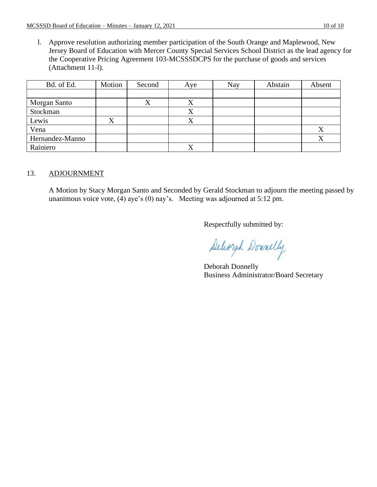l. Approve resolution authorizing member participation of the South Orange and Maplewood, New Jersey Board of Education with Mercer County Special Services School District as the lead agency for the Cooperative Pricing Agreement 103-MCSSSDCPS for the purchase of goods and services (Attachment 11-l).

| Bd. of Ed.      | Motion | Second    | Aye | Nay | Abstain | Absent |
|-----------------|--------|-----------|-----|-----|---------|--------|
|                 |        |           |     |     |         |        |
| Morgan Santo    |        | $\Lambda$ | Λ   |     |         |        |
| Stockman        |        |           |     |     |         |        |
| Lewis           | X      |           |     |     |         |        |
| Vena            |        |           |     |     |         | Х      |
| Hernandez-Manno |        |           |     |     |         | Χ      |
| Rainiero        |        |           |     |     |         |        |

#### 13. ADJOURNMENT

A Motion by Stacy Morgan Santo and Seconded by Gerald Stockman to adjourn the meeting passed by unanimous voice vote, (4) aye's (0) nay's. Meeting was adjourned at 5:12 pm.

Respectfully submitted by:

Deliozah Donnelly

Deborah Donnelly Business Administrator/Board Secretary